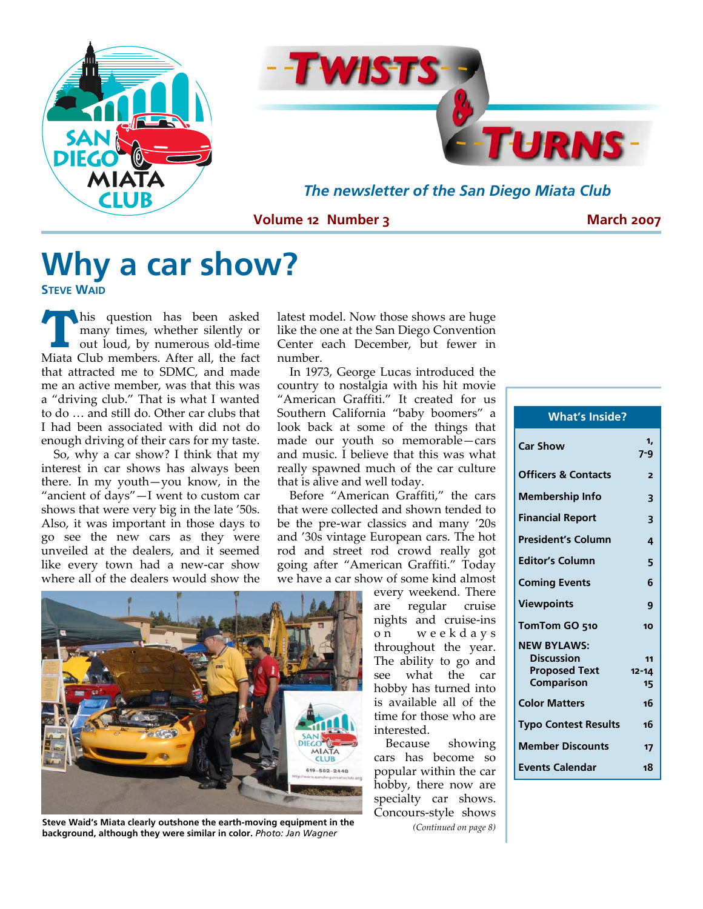



*The newsletter of the San Diego Miata Club* 

**Volume 12 Number 3** 

**March 2007** 

## **Why a car show?**

**STEVE WAID**

**T** his question has been asked<br>
many times, whether silently or<br>
out loud, by numerous old-time many times, whether silently or Miata Club members. After all, the fact that attracted me to SDMC, and made me an active member, was that this was a "driving club." That is what I wanted to do … and still do. Other car clubs that I had been associated with did not do enough driving of their cars for my taste.

So, why a car show? I think that my interest in car shows has always been there. In my youth—you know, in the "ancient of days"—I went to custom car shows that were very big in the late '50s. Also, it was important in those days to go see the new cars as they were unveiled at the dealers, and it seemed like every town had a new‐car show where all of the dealers would show the

latest model. Now those shows are huge like the one at the San Diego Convention Center each December, but fewer in number.

In 1973, George Lucas introduced the country to nostalgia with his hit movie "American Graffiti." It created for us Southern California "baby boomers" a look back at some of the things that made our youth so memorable—cars and music. I believe that this was what really spawned much of the car culture that is alive and well today.

Before "American Graffiti," the cars that were collected and shown tended to be the pre‐war classics and many '20s and '30s vintage European cars. The hot rod and street rod crowd really got going after "American Graffiti." Today we have a car show of some kind almost



**Steve Waid's Miata clearly outshone the earth-moving equipment in the background, although they were similar in color.** *Photo: Jan Wagner* 

every weekend. There are regular cruise nights and cruise‐ins o n weekdays throughout the year. The ability to go and see what the car hobby has turned into is available all of the time for those who are interested.

Because showing cars has become so popular within the car hobby, there now are specialty car shows. Concours‐style shows *(Continued on page 8)*

| <b>What's Inside?</b>          |               |
|--------------------------------|---------------|
| <b>Car Show</b>                | 1.<br>$7 - 9$ |
| <b>Officers &amp; Contacts</b> | 2             |
| <b>Membership Info</b>         | 3             |
| <b>Financial Report</b>        | 3             |
| <b>President's Column</b>      | 4             |
| <b>Editor's Column</b>         | 5             |
| <b>Coming Events</b>           | 6             |
| <b>Viewpoints</b>              | 9             |
| TomTom GO 510                  | 10            |
| <b>NEW BYLAWS:</b>             |               |
| <b>Discussion</b>              | 11            |
| <b>Proposed Text</b>           | $12 - 14$     |
| Comparison                     | 15            |
| <b>Color Matters</b>           | 16            |
| <b>Typo Contest Results</b>    | 16            |
| <b>Member Discounts</b>        | 17            |
| <b>Events Calendar</b>         | 18            |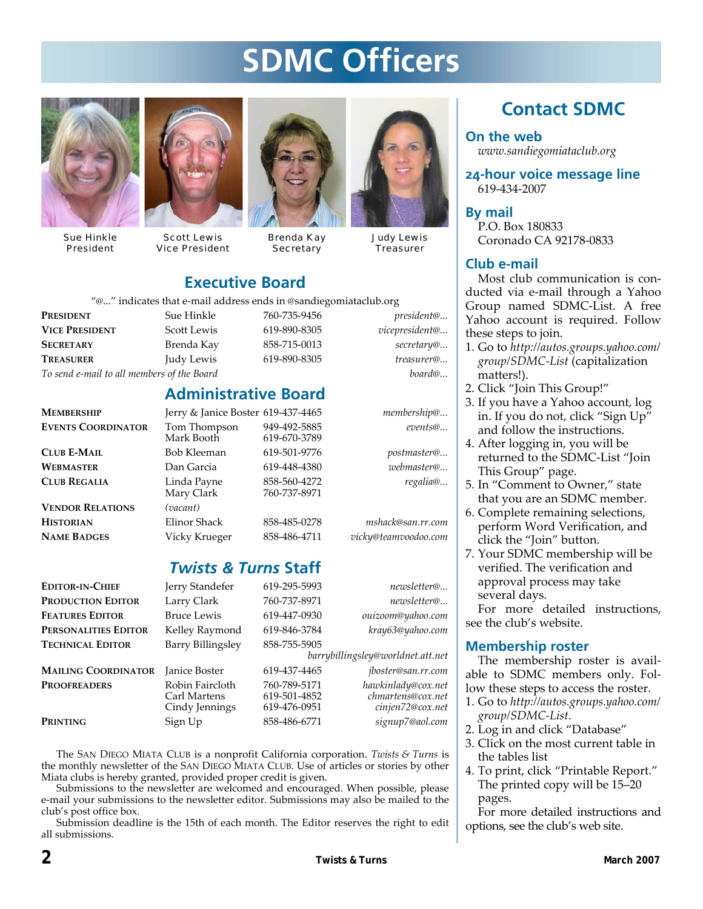## **SDMC Officers**



Sue Hinkle President



Scott Lewis Vice President



Brenda Kay **Secretary** 



Judy Lewis **Treasurer** 

### **Executive Board**

"@..." indicates that e‐mail address ends in @sandiegomiataclub.org

**PRESIDENT** Sue Hinkle 760‐735‐9456 *president@...* **VICE PRESIDENT** Scott Lewis 619‐890‐8305 *vicepresident@...* **SECRETARY** Brenda Kay 858‐715‐0013 *secretary@...* **TREASURER** Judy Lewis 619‐890‐8305 *treasurer@... To send e‐mail to all members of the Board board@...*

| ldress ends in @sar |
|---------------------|
| 760-735-94          |
| 619-890-83          |
| 858-715-00          |
| 619-890-83          |
|                     |

### **Administrative Board**

| <b>MEMBERSHIP</b>         | Jerry & Janice Boster 619-437-4465 |                              | membership@          |
|---------------------------|------------------------------------|------------------------------|----------------------|
| <b>EVENTS COORDINATOR</b> | Tom Thompson<br>Mark Booth         | 949-492-5885<br>619-670-3789 | events@              |
| <b>CLUB E-MAIL</b>        | Bob Kleeman                        | 619-501-9776                 | postmaster@          |
| <b>WEBMASTER</b>          | Dan Garcia                         | 619-448-4380                 | webmaster@           |
| <b>CLUB REGALIA</b>       | Linda Payne<br>Mary Clark          | 858-560-4272<br>760-737-8971 | regalia@             |
| <b>VENDOR RELATIONS</b>   | (vacant)                           |                              |                      |
| <b>HISTORIAN</b>          | Elinor Shack                       | 858-485-0278                 | mshack@san.rr.com    |
| <b>NAME BADGES</b>        | Vicky Krueger                      | 858-486-4711                 | vicky@teamvoodoo.com |

### *Twists & Turns* **Staff**

| <b>EDITOR-IN-CHIEF</b>     | Jerry Standefer                                   | 619-295-5993                                 | newsletter@                                                 |
|----------------------------|---------------------------------------------------|----------------------------------------------|-------------------------------------------------------------|
| Production Editor          | Larry Clark                                       | 760-737-8971                                 | newsletter@                                                 |
| <b>FEATURES EDITOR</b>     | <b>Bruce Lewis</b>                                | 619-447-0930                                 | ouizoom@yahoo.com                                           |
| PERSONALITIES EDITOR       | Kelley Raymond                                    | 619-846-3784                                 | kray63@yahoo.com                                            |
| <b>TECHNICAL EDITOR</b>    | Barry Billingsley                                 | 858-755-5905                                 |                                                             |
|                            |                                                   |                                              | barrybillingsley@worldnet.att.net                           |
| <b>MAILING COORDINATOR</b> | <b>Janice Boster</b>                              | 619-437-4465                                 | jboster@san.rr.com                                          |
| <b>PROOFREADERS</b>        | Robin Faircloth<br>Carl Martens<br>Cindy Jennings | 760-789-5171<br>619-501-4852<br>619-476-0951 | hawkinlady@cox.net<br>chmartens@cox.net<br>cinjen72@cox.net |
| Printing                   | Sign Up                                           | 858-486-6771                                 | signup7@aol.com                                             |
|                            |                                                   |                                              |                                                             |

The SAN DIEGO MIATA CLUB is a nonprofit California corporation. *Twists & Turns* is the monthly newsletter of the SAN DIEGO MIATA CLUB. Use of articles or stories by other Miata clubs is hereby granted, provided proper credit is given.

Submissions to the newsletter are welcomed and encouraged. When possible, please e‐mail your submissions to the newsletter editor. Submissions may also be mailed to the club's post office box.

Submission deadline is the 15th of each month. The Editor reserves the right to edit all submissions.

## **Contact SDMC**

**On the web**  *www.sandiegomiataclub.org*

**24-hour voice message line**  619‐434‐2007

**By mail**  P.O. Box 180833 Coronado CA 92178‐0833

#### **Club e-mail**

Most club communication is conducted via e‐mail through a Yahoo Group named SDMC‐List. A free Yahoo account is required. Follow these steps to join.

- 1. Go to *http://autos.groups.yahoo.com/ group/SDMC‐List* (capitalization matters!).
- 2. Click "Join This Group!"
- 3. If you have a Yahoo account, log in. If you do not, click "Sign Up" and follow the instructions.
- 4. After logging in, you will be returned to the SDMC‐List "Join This Group" page.
- 5. In "Comment to Owner," state that you are an SDMC member.
- 6. Complete remaining selections, perform Word Verification, and click the "Join" button.
- 7. Your SDMC membership will be verified. The verification and approval process may take several days.

For more detailed instructions, see the club's website.

#### **Membership roster**

The membership roster is avail‐ able to SDMC members only. Fol‐ low these steps to access the roster.

- 1. Go to *http://autos.groups.yahoo.com/ group/SDMC‐List*.
- 2. Log in and click "Database"
- 3. Click on the most current table in the tables list
- 4. To print, click "Printable Report." The printed copy will be 15–20 pages.

For more detailed instructions and options, see the club's web site.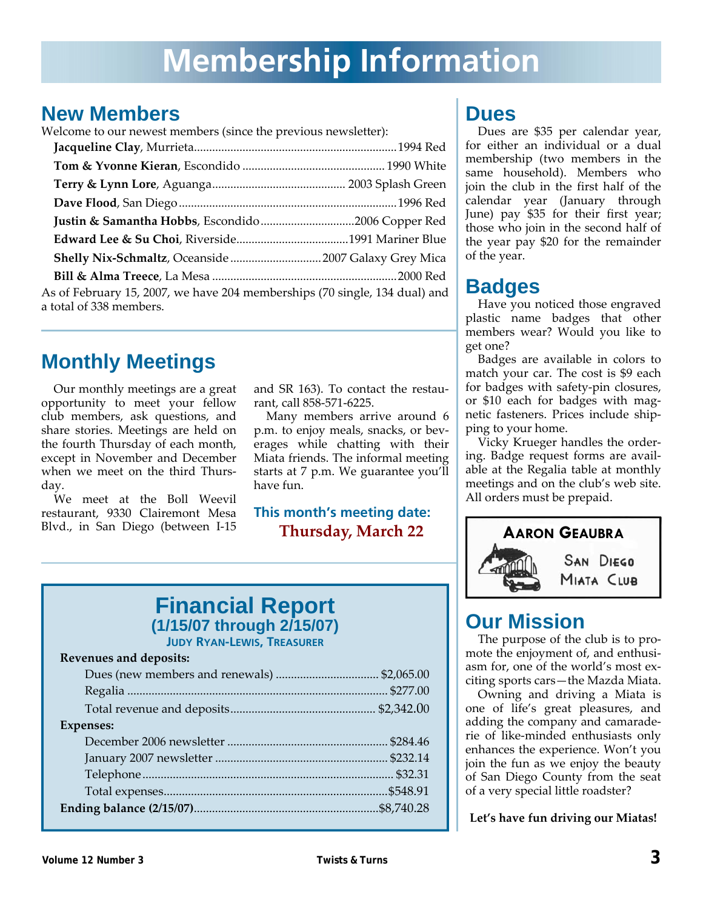## **Membership Information**

## **New Members**

Welcome to our newest members (since the previous newsletter):

| As of February 15, 2007, we have 204 memberships (70 single, 134 dual) and<br>a total of 338 members. |  |
|-------------------------------------------------------------------------------------------------------|--|
|                                                                                                       |  |

## **Monthly Meetings**

Our monthly meetings are a great opportunity to meet your fellow club members, ask questions, and share stories. Meetings are held on the fourth Thursday of each month, except in November and December when we meet on the third Thursday.

We meet at the Boll Weevil restaurant, 9330 Clairemont Mesa Blvd., in San Diego (between I‐15 and SR 163). To contact the restau‐ rant, call 858‐571‐6225.

Many members arrive around 6 p.m. to enjoy meals, snacks, or beverages while chatting with their Miata friends. The informal meeting starts at 7 p.m. We guarantee you'll have fun.

### **This month's meeting date: Thursday, March 22**

### **Financial Report (1/15/07 through 2/15/07) JUDY RYAN-LEWIS, TREASURER**

#### **Revenues and deposits:**

| <b>Expenses:</b> |  |
|------------------|--|
|                  |  |
|                  |  |
|                  |  |
|                  |  |
|                  |  |
|                  |  |

## **Dues**

Dues are \$35 per calendar year, for either an individual or a dual membership (two members in the same household). Members who join the club in the first half of the calendar year (January through June) pay \$35 for their first year; those who join in the second half of the year pay \$20 for the remainder of the year.

## **Badges**

Have you noticed those engraved plastic name badges that other members wear? Would you like to get one?

Badges are available in colors to match your car. The cost is \$9 each for badges with safety‐pin closures, or \$10 each for badges with mag‐ netic fasteners. Prices include ship‐ ping to your home.

Vicky Krueger handles the order‐ ing. Badge request forms are avail‐ able at the Regalia table at monthly meetings and on the club's web site. All orders must be prepaid.



## **Our Mission**

The purpose of the club is to pro‐ mote the enjoyment of, and enthusiasm for, one of the world's most ex‐ citing sports cars—the Mazda Miata.

Owning and driving a Miata is one of life's great pleasures, and adding the company and camarade‐ rie of like‐minded enthusiasts only enhances the experience. Won't you join the fun as we enjoy the beauty of San Diego County from the seat of a very special little roadster?

**Let's have fun driving our Miatas!**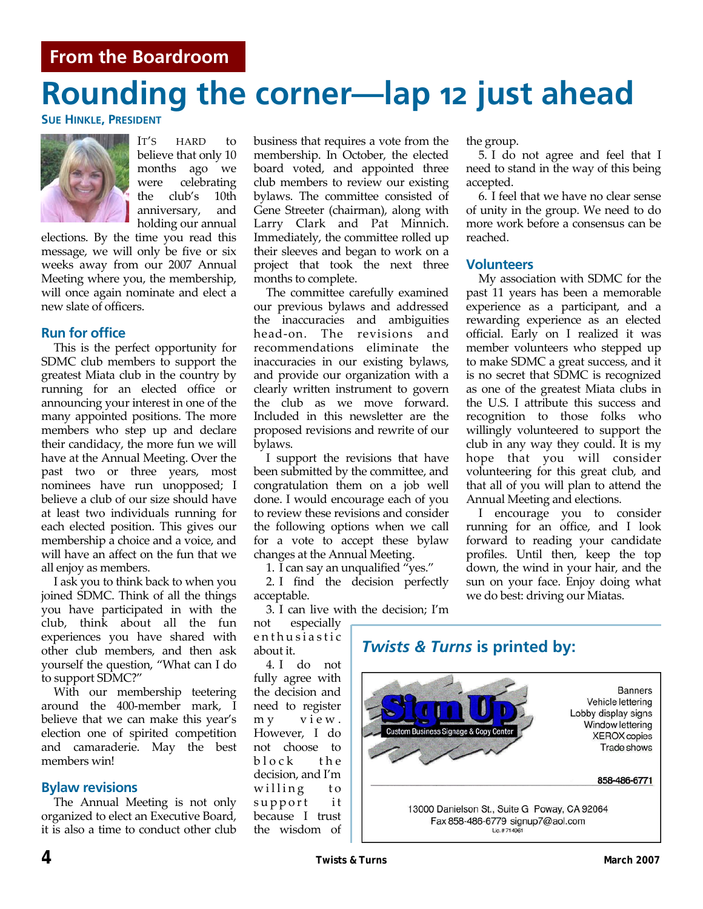### **From the Boardroom**

# **Rounding the corner—lap 12 just ahead**

**SUE HINKLE, PRESIDENT**



IT'S HARD to believe that only 10 months ago we were celebrating the club's 10th anniversary, and holding our annual

elections. By the time you read this message, we will only be five or six weeks away from our 2007 Annual Meeting where you, the membership, will once again nominate and elect a new slate of officers.

#### **Run for office**

This is the perfect opportunity for SDMC club members to support the greatest Miata club in the country by running for an elected office or announcing your interest in one of the many appointed positions. The more members who step up and declare their candidacy, the more fun we will have at the Annual Meeting. Over the past two or three years, most nominees have run unopposed; I believe a club of our size should have at least two individuals running for each elected position. This gives our membership a choice and a voice, and will have an affect on the fun that we all enjoy as members.

I ask you to think back to when you joined SDMC. Think of all the things you have participated in with the club, think about all the fun experiences you have shared with other club members, and then ask yourself the question, "What can I do to support SDMC?"

With our membership teetering around the 400‐member mark, I believe that we can make this year's election one of spirited competition and camaraderie. May the best members win!

#### **Bylaw revisions**

The Annual Meeting is not only organized to elect an Executive Board, it is also a time to conduct other club business that requires a vote from the membership. In October, the elected board voted, and appointed three club members to review our existing bylaws. The committee consisted of Gene Streeter (chairman), along with Larry Clark and Pat Minnich. Immediately, the committee rolled up their sleeves and began to work on a project that took the next three months to complete.

The committee carefully examined our previous bylaws and addressed the inaccuracies and ambiguities head‐on. The revisions and recommendations eliminate the inaccuracies in our existing bylaws, and provide our organization with a clearly written instrument to govern the club as we move forward. Included in this newsletter are the proposed revisions and rewrite of our bylaws.

I support the revisions that have been submitted by the committee, and congratulation them on a job well done. I would encourage each of you to review these revisions and consider the following options when we call for a vote to accept these bylaw changes at the Annual Meeting.

1. I can say an unqualified "yes."

2. I find the decision perfectly acceptable.

3. I can live with the decision; I'm

not especially enthusiastic about it.

4. I do not fully agree with the decision and need to register m y view. However, I do not choose to block the decision, and I'm willing to support it because I trust the wisdom of

the group.

5. I do not agree and feel that I need to stand in the way of this being accepted.

6. I feel that we have no clear sense of unity in the group. We need to do more work before a consensus can be reached.

#### **Volunteers**

My association with SDMC for the past 11 years has been a memorable experience as a participant, and a rewarding experience as an elected official. Early on I realized it was member volunteers who stepped up to make SDMC a great success, and it is no secret that SDMC is recognized as one of the greatest Miata clubs in the U.S. I attribute this success and recognition to those folks who willingly volunteered to support the club in any way they could. It is my hope that you will consider volunteering for this great club, and that all of you will plan to attend the Annual Meeting and elections.

I encourage you to consider running for an office, and I look forward to reading your candidate profiles. Until then, keep the top down, the wind in your hair, and the sun on your face. Enjoy doing what we do best: driving our Miatas.

### *Twists & Turns* **is printed by:**

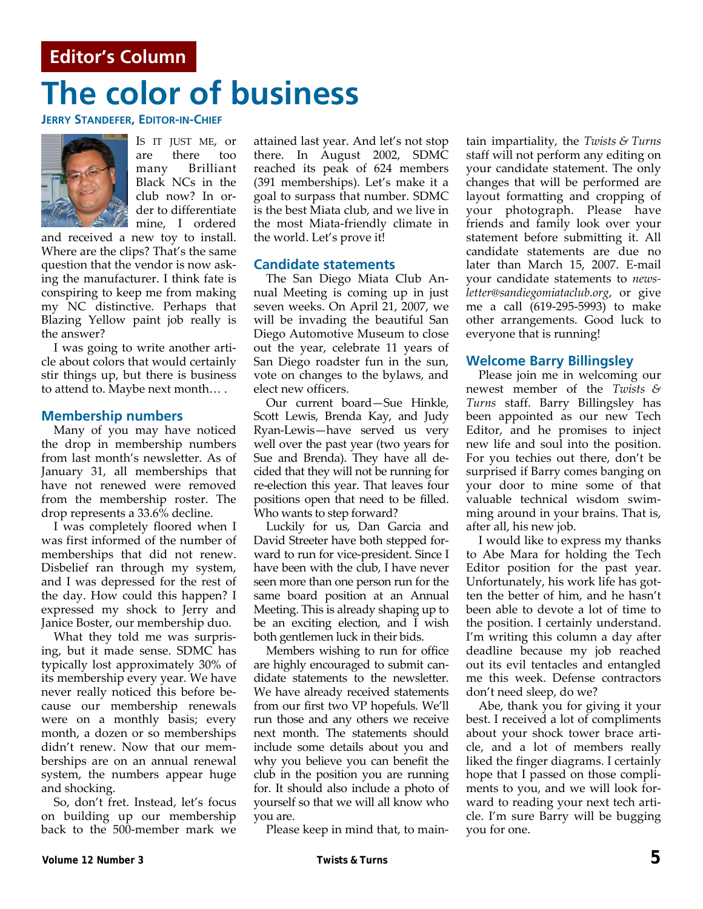### **Editor's Column**

# **The color of business**

**JERRY STANDEFER, EDITOR-IN-CHIEF**



IS IT JUST ME, or are there too many Brilliant Black NCs in the club now? In or‐ der to differentiate mine, I ordered

and received a new toy to install. Where are the clips? That's the same question that the vendor is now ask‐ ing the manufacturer. I think fate is conspiring to keep me from making my NC distinctive. Perhaps that Blazing Yellow paint job really is the answer?

I was going to write another arti‐ cle about colors that would certainly stir things up, but there is business to attend to. Maybe next month… .

#### **Membership numbers**

Many of you may have noticed the drop in membership numbers from last month's newsletter. As of January 31, all memberships that have not renewed were removed from the membership roster. The drop represents a 33.6% decline.

I was completely floored when I was first informed of the number of memberships that did not renew. Disbelief ran through my system, and I was depressed for the rest of the day. How could this happen? I expressed my shock to Jerry and Janice Boster, our membership duo.

What they told me was surpris‐ ing, but it made sense. SDMC has typically lost approximately 30% of its membership every year. We have never really noticed this before be‐ cause our membership renewals were on a monthly basis; every month, a dozen or so memberships didn't renew. Now that our mem‐ berships are on an annual renewal system, the numbers appear huge and shocking.

So, don't fret. Instead, let's focus on building up our membership back to the 500‐member mark we attained last year. And let's not stop there. In August 2002, SDMC reached its peak of 624 members (391 memberships). Let's make it a goal to surpass that number. SDMC is the best Miata club, and we live in the most Miata‐friendly climate in the world. Let's prove it!

#### **Candidate statements**

The San Diego Miata Club An‐ nual Meeting is coming up in just seven weeks. On April 21, 2007, we will be invading the beautiful San Diego Automotive Museum to close out the year, celebrate 11 years of San Diego roadster fun in the sun, vote on changes to the bylaws, and elect new officers.

Our current board—Sue Hinkle, Scott Lewis, Brenda Kay, and Judy Ryan‐Lewis—have served us very well over the past year (two years for Sue and Brenda). They have all de‐ cided that they will not be running for re‐election this year. That leaves four positions open that need to be filled. Who wants to step forward?

Luckily for us, Dan Garcia and David Streeter have both stepped for‐ ward to run for vice‐president. Since I have been with the club, I have never seen more than one person run for the same board position at an Annual Meeting. This is already shaping up to be an exciting election, and I wish both gentlemen luck in their bids.

Members wishing to run for office are highly encouraged to submit can‐ didate statements to the newsletter. We have already received statements from our first two VP hopefuls. We'll run those and any others we receive next month. The statements should include some details about you and why you believe you can benefit the club in the position you are running for. It should also include a photo of yourself so that we will all know who you are.

Please keep in mind that, to main‐

tain impartiality, the *Twists & Turns* staff will not perform any editing on your candidate statement. The only changes that will be performed are layout formatting and cropping of your photograph. Please have friends and family look over your statement before submitting it. All candidate statements are due no later than March 15, 2007. E-mail your candidate statements to *news‐ letter@sandiegomiataclub.org*, or give me a call (619‐295‐5993) to make other arrangements. Good luck to everyone that is running!

#### **Welcome Barry Billingsley**

Please join me in welcoming our newest member of the *Twists & Turns* staff. Barry Billingsley has been appointed as our new Tech Editor, and he promises to inject new life and soul into the position. For you techies out there, don't be surprised if Barry comes banging on your door to mine some of that valuable technical wisdom swim‐ ming around in your brains. That is, after all, his new job.

I would like to express my thanks to Abe Mara for holding the Tech Editor position for the past year. Unfortunately, his work life has got‐ ten the better of him, and he hasn't been able to devote a lot of time to the position. I certainly understand. I'm writing this column a day after deadline because my job reached out its evil tentacles and entangled me this week. Defense contractors don't need sleep, do we?

Abe, thank you for giving it your best. I received a lot of compliments about your shock tower brace arti‐ cle, and a lot of members really liked the finger diagrams. I certainly hope that I passed on those compli‐ ments to you, and we will look for‐ ward to reading your next tech arti‐ cle. I'm sure Barry will be bugging you for one.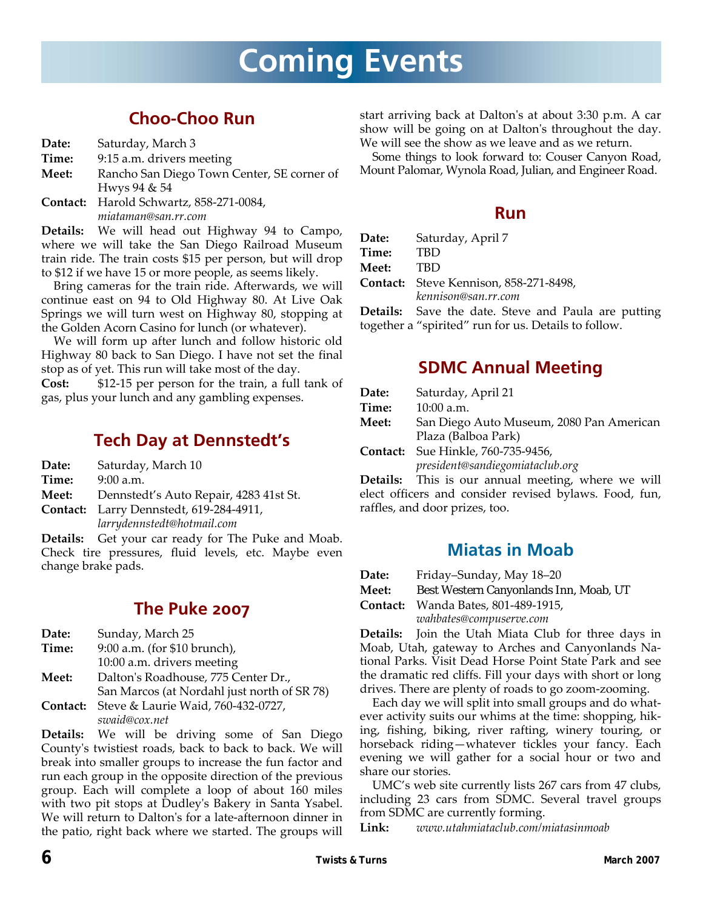## **Coming Events**

## **Choo-Choo Run**

| Date: | Saturday, March 3 |  |
|-------|-------------------|--|
|-------|-------------------|--|

- **Time:** 9:15 a.m. drivers meeting
- **Meet:** Rancho San Diego Town Center, SE corner of Hwys 94 & 54
- **Contact:** Harold Schwartz, 858‐271‐0084, *miataman@san.rr.com*

**Details:** We will head out Highway 94 to Campo, where we will take the San Diego Railroad Museum train ride. The train costs \$15 per person, but will drop to \$12 if we have 15 or more people, as seems likely.

Bring cameras for the train ride. Afterwards, we will continue east on 94 to Old Highway 80. At Live Oak Springs we will turn west on Highway 80, stopping at the Golden Acorn Casino for lunch (or whatever).

We will form up after lunch and follow historic old Highway 80 back to San Diego. I have not set the final stop as of yet. This run will take most of the day.

**Cost:** \$12‐15 per person for the train, a full tank of gas, plus your lunch and any gambling expenses.

## **Tech Day at Dennstedt's**

**Date:** Saturday, March 10

**Time:** 9:00 a.m.

**Meet:** Dennstedt's Auto Repair, 4283 41st St.

**Contact:** Larry Dennstedt, 619‐284‐4911,

*larrydennstedt@hotmail.com*

**Details:** Get your car ready for The Puke and Moab. Check tire pressures, fluid levels, etc. Maybe even change brake pads.

## **The Puke 2007**

| Date: | Sunday, March 25                                   |
|-------|----------------------------------------------------|
| Time: | 9:00 a.m. (for \$10 brunch),                       |
|       | 10:00 a.m. drivers meeting                         |
| Meet: | Dalton's Roadhouse, 775 Center Dr.,                |
|       | San Marcos (at Nordahl just north of SR 78)        |
|       | <b>Contact:</b> Steve & Laurie Waid, 760-432-0727, |
|       | swaid@cox.net                                      |

**Details:** We will be driving some of San Diego Countyʹs twistiest roads, back to back to back. We will break into smaller groups to increase the fun factor and run each group in the opposite direction of the previous group. Each will complete a loop of about 160 miles with two pit stops at Dudley's Bakery in Santa Ysabel. We will return to Dalton's for a late-afternoon dinner in the patio, right back where we started. The groups will

start arriving back at Daltonʹs at about 3:30 p.m. A car show will be going on at Daltonʹs throughout the day. We will see the show as we leave and as we return.

Some things to look forward to: Couser Canyon Road, Mount Palomar, Wynola Road, Julian, and Engineer Road.

### **Run**

| Date:        | Saturday, April 7                                  |
|--------------|----------------------------------------------------|
| Time:        | <b>TBD</b>                                         |
| <b>Meet:</b> | <b>TBD</b>                                         |
|              | Contact: Steve Kennison, 858-271-8498,             |
|              | kennison@san.rr.com                                |
|              | <b>Details:</b> Save the date. Steve and Paula are |

e putting<sup>.</sup> together a "spirited" run for us. Details to follow.

### **SDMC Annual Meeting**

| Date:    | Saturday, April 21                                        |
|----------|-----------------------------------------------------------|
| Time:    | $10:00$ a.m.                                              |
| Meet:    | San Diego Auto Museum, 2080 Pan American                  |
|          | Plaza (Balboa Park)                                       |
| Contact: | Sue Hinkle, 760-735-9456,                                 |
|          | president@sandiegomiataclub.org                           |
|          | <b>Details:</b> This is our annual meeting, where we will |

elect officers and consider revised bylaws. Food, fun, raffles, and door prizes, too.

### **Miatas in Moab**

| Date: | Friday–Sunday, May 18–20 |  |
|-------|--------------------------|--|
| _ _   |                          |  |

**Meet:** Best Western Canyonlands Inn, Moab, UT

**Contact:** Wanda Bates, 801‐489‐1915,

*wahbates@compuserve.com*

**Details:** Join the Utah Miata Club for three days in Moab, Utah, gateway to Arches and Canyonlands Na‐ tional Parks. Visit Dead Horse Point State Park and see the dramatic red cliffs. Fill your days with short or long drives. There are plenty of roads to go zoom‐zooming.

Each day we will split into small groups and do what‐ ever activity suits our whims at the time: shopping, hik‐ ing, fishing, biking, river rafting, winery touring, or horseback riding—whatever tickles your fancy. Each evening we will gather for a social hour or two and share our stories.

UMC's web site currently lists 267 cars from 47 clubs, including 23 cars from SDMC. Several travel groups from SDMC are currently forming.

**Link:** *www.utahmiataclub.com/miatasinmoab*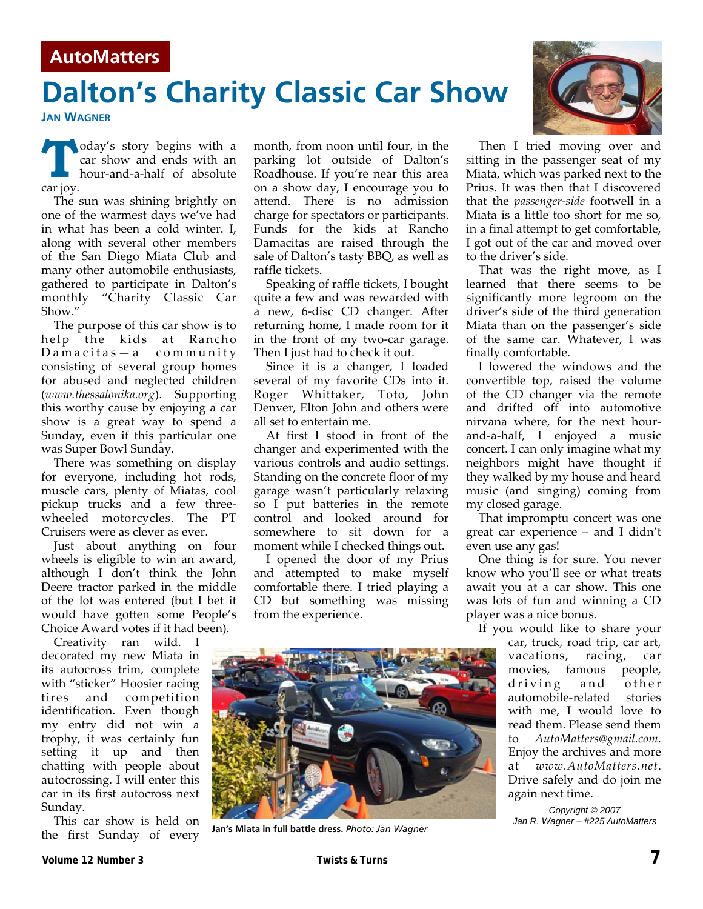### **AutoMatters**

## **Dalton's Charity Classic Car Show**

**JAN WAGNER**

**T oday's** story begins with a car show and ends with an hour‐and‐a‐half of absolute car joy.

The sun was shining brightly on one of the warmest days we've had in what has been a cold winter. I, along with several other members of the San Diego Miata Club and many other automobile enthusiasts, gathered to participate in Dalton's monthly "Charity Classic Car Show."

The purpose of this car show is to help the kids at Rancho Damacitas—a community consisting of several group homes for abused and neglected children (*www.thessalonika.org*). Supporting this worthy cause by enjoying a car show is a great way to spend a Sunday, even if this particular one was Super Bowl Sunday.

There was something on display for everyone, including hot rods, muscle cars, plenty of Miatas, cool pickup trucks and a few three‐ wheeled motorcycles. The PT Cruisers were as clever as ever.

Just about anything on four wheels is eligible to win an award, although I don't think the John Deere tractor parked in the middle of the lot was entered (but I bet it would have gotten some People's Choice Award votes if it had been).

Creativity ran wild. I decorated my new Miata in its autocross trim, complete with "sticker" Hoosier racing tires and competition identification. Even though my entry did not win a trophy, it was certainly fun setting it up and then chatting with people about autocrossing. I will enter this car in its first autocross next Sunday.

This car show is held on the first Sunday of every

month, from noon until four, in the parking lot outside of Dalton's Roadhouse. If you're near this area on a show day, I encourage you to attend. There is no admission charge for spectators or participants. Funds for the kids at Rancho Damacitas are raised through the sale of Dalton's tasty BBQ, as well as raffle tickets.

Speaking of raffle tickets, I bought quite a few and was rewarded with a new, 6‐disc CD changer. After returning home, I made room for it in the front of my two-car garage. Then I just had to check it out.

Since it is a changer, I loaded several of my favorite CDs into it. Roger Whittaker, Toto, John Denver, Elton John and others were all set to entertain me.

At first I stood in front of the changer and experimented with the various controls and audio settings. Standing on the concrete floor of my garage wasn't particularly relaxing so I put batteries in the remote control and looked around for somewhere to sit down for a moment while I checked things out.

I opened the door of my Prius and attempted to make myself comfortable there. I tried playing a CD but something was missing from the experience.

Then I tried moving over and sitting in the passenger seat of my Miata, which was parked next to the Prius. It was then that I discovered that the *passenger‐side* footwell in a Miata is a little too short for me so, in a final attempt to get comfortable, I got out of the car and moved over to the driver's side.

That was the right move, as I learned that there seems to be significantly more legroom on the driver's side of the third generation Miata than on the passenger's side of the same car. Whatever, I was finally comfortable.

I lowered the windows and the convertible top, raised the volume of the CD changer via the remote and drifted off into automotive nirvana where, for the next hour‐ and‐a‐half, I enjoyed a music concert. I can only imagine what my neighbors might have thought if they walked by my house and heard music (and singing) coming from my closed garage.

That impromptu concert was one great car experience – and I didn't even use any gas!

One thing is for sure. You never know who you'll see or what treats await you at a car show. This one was lots of fun and winning a CD player was a nice bonus.

If you would like to share your car, truck, road trip, car art, vacations, racing, car movies, famous people, driving and other automobile‐related stories with me, I would love to read them. Please send them to *AutoMatters@gmail.com*. Enjoy the archives and more at *www.AutoMatters.net*. Drive safely and do join me again next time.

> *Copyright © 2007 Jan R. Wagner – #225 AutoMatters*





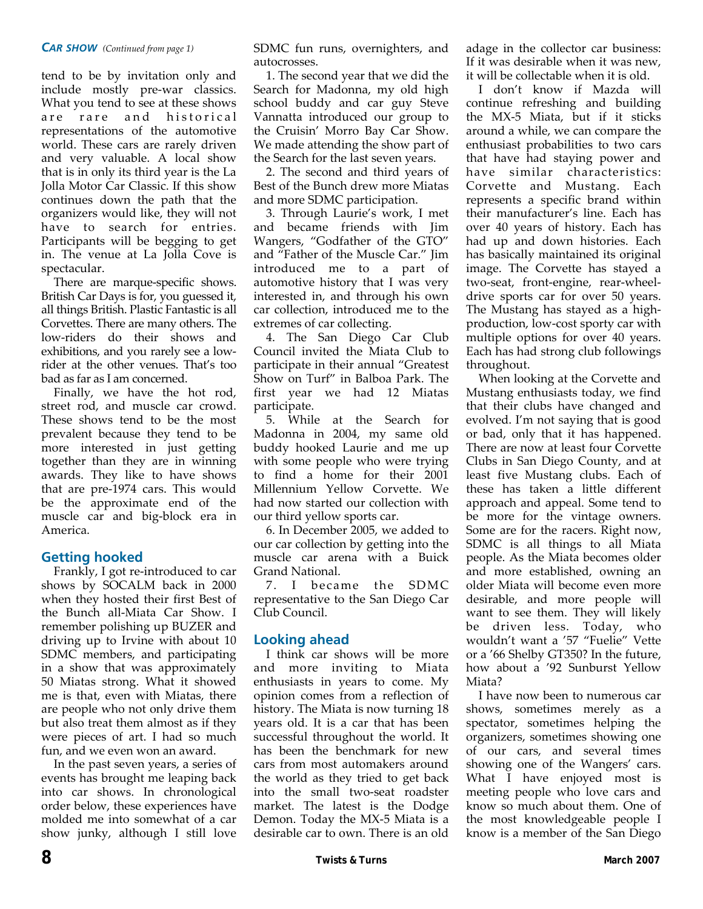#### *CAR SHOW (Continued from page 1)*

tend to be by invitation only and include mostly pre‐war classics. What you tend to see at these shows are rare and historical representations of the automotive world. These cars are rarely driven and very valuable. A local show that is in only its third year is the La Jolla Motor Car Classic. If this show continues down the path that the organizers would like, they will not have to search for entries. Participants will be begging to get in. The venue at La Jolla Cove is spectacular.

There are marque-specific shows. British Car Days is for, you guessed it, all things British. Plastic Fantastic is all Corvettes. There are many others. The low‐riders do their shows and exhibitions, and you rarely see a low‐ rider at the other venues. That's too bad as far as I am concerned.

Finally, we have the hot rod, street rod, and muscle car crowd. These shows tend to be the most prevalent because they tend to be more interested in just getting together than they are in winning awards. They like to have shows that are pre‐1974 cars. This would be the approximate end of the muscle car and big‐block era in America.

#### **Getting hooked**

Frankly, I got re‐introduced to car shows by SOCALM back in 2000 when they hosted their first Best of the Bunch all‐Miata Car Show. I remember polishing up BUZER and driving up to Irvine with about 10 SDMC members, and participating in a show that was approximately 50 Miatas strong. What it showed me is that, even with Miatas, there are people who not only drive them but also treat them almost as if they were pieces of art. I had so much fun, and we even won an award.

In the past seven years, a series of events has brought me leaping back into car shows. In chronological order below, these experiences have molded me into somewhat of a car show junky, although I still love

SDMC fun runs, overnighters, and autocrosses.

1. The second year that we did the Search for Madonna, my old high school buddy and car guy Steve Vannatta introduced our group to the Cruisin' Morro Bay Car Show. We made attending the show part of the Search for the last seven years.

2. The second and third years of Best of the Bunch drew more Miatas and more SDMC participation.

3. Through Laurie's work, I met and became friends with Jim Wangers, "Godfather of the GTO" and "Father of the Muscle Car." Jim introduced me to a part of automotive history that I was very interested in, and through his own car collection, introduced me to the extremes of car collecting.

4. The San Diego Car Club Council invited the Miata Club to participate in their annual "Greatest Show on Turf" in Balboa Park. The first year we had 12 Miatas participate.

5. While at the Search for Madonna in 2004, my same old buddy hooked Laurie and me up with some people who were trying to find a home for their 2001 Millennium Yellow Corvette. We had now started our collection with our third yellow sports car.

6. In December 2005, we added to our car collection by getting into the muscle car arena with a Buick Grand National.

7. I became the SDMC representative to the San Diego Car Club Council.

#### **Looking ahead**

I think car shows will be more and more inviting to Miata enthusiasts in years to come. My opinion comes from a reflection of history. The Miata is now turning 18 years old. It is a car that has been successful throughout the world. It has been the benchmark for new cars from most automakers around the world as they tried to get back into the small two‐seat roadster market. The latest is the Dodge Demon. Today the MX‐5 Miata is a desirable car to own. There is an old

adage in the collector car business: If it was desirable when it was new, it will be collectable when it is old.

I don't know if Mazda will continue refreshing and building the MX‐5 Miata, but if it sticks around a while, we can compare the enthusiast probabilities to two cars that have had staying power and have similar characteristics: Corvette and Mustang. Each represents a specific brand within their manufacturer's line. Each has over 40 years of history. Each has had up and down histories. Each has basically maintained its original image. The Corvette has stayed a two‐seat, front‐engine, rear‐wheel‐ drive sports car for over 50 years. The Mustang has stayed as a high‐ production, low‐cost sporty car with multiple options for over 40 years. Each has had strong club followings throughout.

When looking at the Corvette and Mustang enthusiasts today, we find that their clubs have changed and evolved. I'm not saying that is good or bad, only that it has happened. There are now at least four Corvette Clubs in San Diego County, and at least five Mustang clubs. Each of these has taken a little different approach and appeal. Some tend to be more for the vintage owners. Some are for the racers. Right now, SDMC is all things to all Miata people. As the Miata becomes older and more established, owning an older Miata will become even more desirable, and more people will want to see them. They will likely be driven less. Today, who wouldn't want a '57 "Fuelie" Vette or a '66 Shelby GT350? In the future, how about a '92 Sunburst Yellow Miata?

I have now been to numerous car shows, sometimes merely as a spectator, sometimes helping the organizers, sometimes showing one of our cars, and several times showing one of the Wangers' cars. What I have enjoyed most is meeting people who love cars and know so much about them. One of the most knowledgeable people I know is a member of the San Diego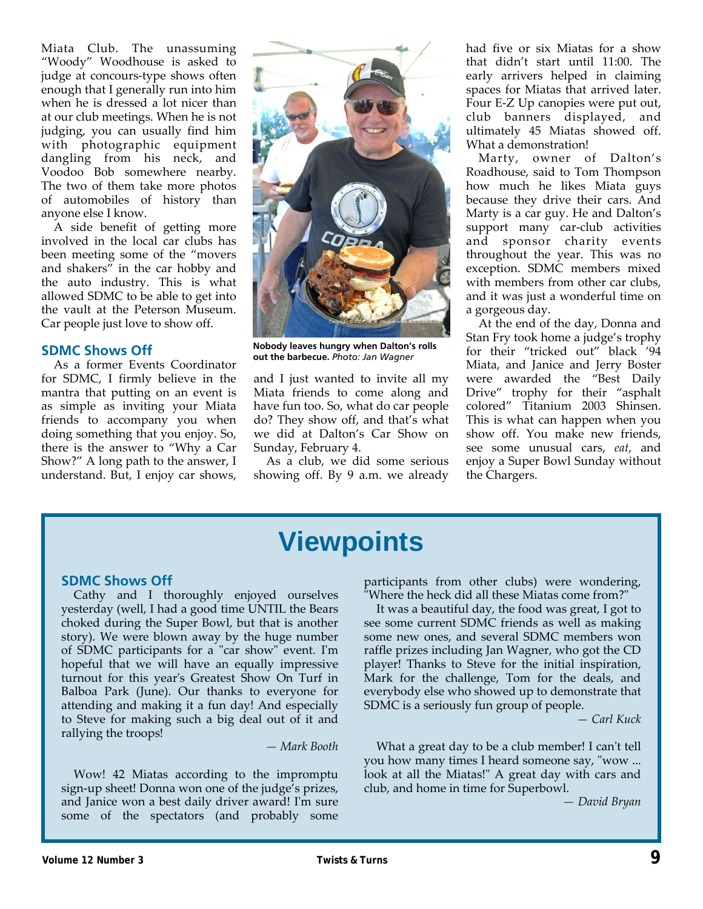Miata Club. The unassuming "Woody" Woodhouse is asked to judge at concours‐type shows often enough that I generally run into him when he is dressed a lot nicer than at our club meetings. When he is not judging, you can usually find him with photographic equipment dangling from his neck, and Voodoo Bob somewhere nearby. The two of them take more photos of automobiles of history than anyone else I know.

A side benefit of getting more involved in the local car clubs has been meeting some of the "movers and shakers" in the car hobby and the auto industry. This is what allowed SDMC to be able to get into the vault at the Peterson Museum. Car people just love to show off.

#### **SDMC Shows Off**

As a former Events Coordinator for SDMC, I firmly believe in the mantra that putting on an event is as simple as inviting your Miata friends to accompany you when doing something that you enjoy. So, there is the answer to "Why a Car Show?" A long path to the answer, I understand. But, I enjoy car shows,



**Nobody leaves hungry when Dalton's rolls out the barbecue.** *Photo: Jan Wagner* 

and I just wanted to invite all my Miata friends to come along and have fun too. So, what do car people do? They show off, and that's what we did at Dalton's Car Show on Sunday, February 4.

As a club, we did some serious showing off. By 9 a.m. we already had five or six Miatas for a show that didn't start until 11:00. The early arrivers helped in claiming spaces for Miatas that arrived later. Four E‐Z Up canopies were put out, club banners displayed, and ultimately 45 Miatas showed off. What a demonstration!

Marty, owner of Dalton's Roadhouse, said to Tom Thompson how much he likes Miata guys because they drive their cars. And Marty is a car guy. He and Dalton's support many car-club activities and sponsor charity events throughout the year. This was no exception. SDMC members mixed with members from other car clubs, and it was just a wonderful time on a gorgeous day.

At the end of the day, Donna and Stan Fry took home a judge's trophy for their "tricked out" black '94 Miata, and Janice and Jerry Boster were awarded the "Best Daily Drive" trophy for their "asphalt colored" Titanium 2003 Shinsen. This is what can happen when you show off. You make new friends, see some unusual cars, *eat*, and enjoy a Super Bowl Sunday without the Chargers.

## **Viewpoints**

#### **SDMC Shows Off**

Cathy and I thoroughly enjoyed ourselves yesterday (well, I had a good time UNTIL the Bears choked during the Super Bowl, but that is another story). We were blown away by the huge number of SDMC participants for a "car show" event. I'm hopeful that we will have an equally impressive turnout for this yearʹs Greatest Show On Turf in Balboa Park (June). Our thanks to everyone for attending and making it a fun day! And especially to Steve for making such a big deal out of it and rallying the troops!

*— Mark Booth*

Wow! 42 Miatas according to the impromptu sign‐up sheet! Donna won one of the judge's prizes, and Janice won a best daily driver award! Iʹm sure some of the spectators (and probably some

participants from other clubs) were wondering, "Where the heck did all these Miatas come from?"

It was a beautiful day, the food was great, I got to see some current SDMC friends as well as making some new ones, and several SDMC members won raffle prizes including Jan Wagner, who got the CD player! Thanks to Steve for the initial inspiration, Mark for the challenge, Tom for the deals, and everybody else who showed up to demonstrate that SDMC is a seriously fun group of people.

*— Carl Kuck*

What a great day to be a club member! I can't tell you how many times I heard someone say, "wow ... look at all the Miatas!" A great day with cars and club, and home in time for Superbowl.

*— David Bryan*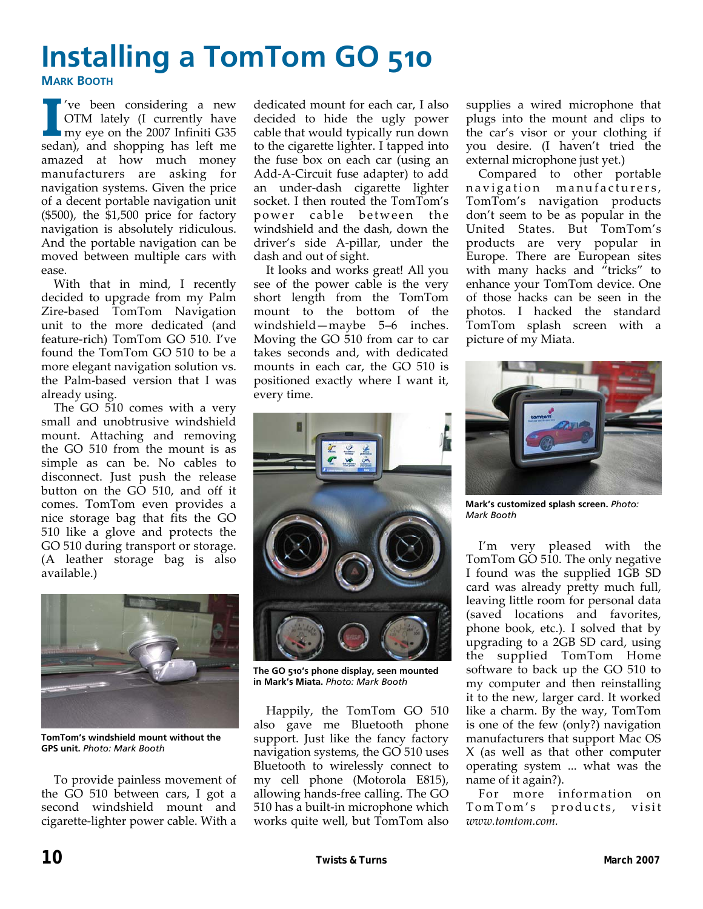# **Installing a TomTom GO 510**

**MARK BOOTH**

**I** <sup>'ve</sup> been considering a new<br>
OTM lately (I currently have<br>
my eye on the 2007 Infiniti G35 OTM lately (I currently have sedan), and shopping has left me amazed at how much money manufacturers are asking for navigation systems. Given the price of a decent portable navigation unit (\$500), the \$1,500 price for factory navigation is absolutely ridiculous. And the portable navigation can be moved between multiple cars with ease.

With that in mind, I recently decided to upgrade from my Palm Zire‐based TomTom Navigation unit to the more dedicated (and feature‐rich) TomTom GO 510. I've found the TomTom GO 510 to be a more elegant navigation solution vs. the Palm‐based version that I was already using.

The GO 510 comes with a very small and unobtrusive windshield mount. Attaching and removing the GO 510 from the mount is as simple as can be. No cables to disconnect. Just push the release button on the GO 510, and off it comes. TomTom even provides a nice storage bag that fits the GO 510 like a glove and protects the GO 510 during transport or storage. (A leather storage bag is also available.)



**TomTom's windshield mount without the GPS unit.** *Photo: Mark Booth* 

To provide painless movement of the GO 510 between cars, I got a second windshield mount and cigarette‐lighter power cable. With a dedicated mount for each car, I also decided to hide the ugly power cable that would typically run down to the cigarette lighter. I tapped into the fuse box on each car (using an Add‐A‐Circuit fuse adapter) to add an under‐dash cigarette lighter socket. I then routed the TomTom's power cable between the windshield and the dash, down the driver's side A‐pillar, under the dash and out of sight.

It looks and works great! All you see of the power cable is the very short length from the TomTom mount to the bottom of the windshield—maybe 5–6 inches. Moving the GO 510 from car to car takes seconds and, with dedicated mounts in each car, the GO 510 is positioned exactly where I want it, every time.

supplies a wired microphone that plugs into the mount and clips to the car's visor or your clothing if you desire. (I haven't tried the external microphone just yet.)

Compared to other portable navigation manufacturers, TomTom's navigation products don't seem to be as popular in the United States. But TomTom's products are very popular in Europe. There are European sites with many hacks and "tricks" to enhance your TomTom device. One of those hacks can be seen in the photos. I hacked the standard TomTom splash screen with a picture of my Miata.



**The GO 510's phone display, seen mounted in Mark's Miata.** *Photo: Mark Booth* 

Happily, the TomTom GO 510 also gave me Bluetooth phone support. Just like the fancy factory navigation systems, the GO 510 uses Bluetooth to wirelessly connect to my cell phone (Motorola E815), allowing hands‐free calling. The GO 510 has a built‐in microphone which works quite well, but TomTom also



**Mark's customized splash screen.** *Photo: Mark Booth* 

I'm very pleased with the TomTom GO 510. The only negative I found was the supplied 1GB SD card was already pretty much full, leaving little room for personal data (saved locations and favorites, phone book, etc.). I solved that by upgrading to a 2GB SD card, using the supplied TomTom Home software to back up the GO 510 to my computer and then reinstalling it to the new, larger card. It worked like a charm. By the way, TomTom is one of the few (only?) navigation manufacturers that support Mac OS X (as well as that other computer operating system ... what was the name of it again?).

For more information on TomTom's products, visit *www.tomtom.com.*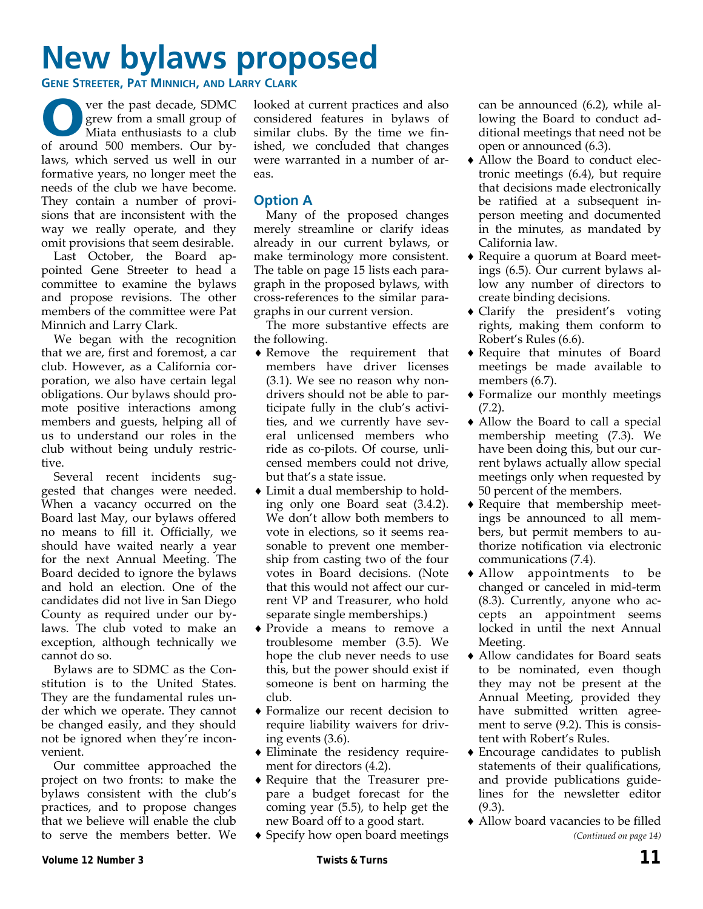# **New bylaws proposed**

**GENE STREETER, PAT MINNICH, AND LARRY CLARK**

**O** ver the past decade, SDMC<br>grew from a small group of<br>Miata enthusiasts to a club<br>of around 500 mombers. Our by grew from a small group of Miata enthusiasts to a club of around 500 members. Our by‐ laws, which served us well in our formative years, no longer meet the needs of the club we have become. They contain a number of provisions that are inconsistent with the way we really operate, and they omit provisions that seem desirable.

Last October, the Board ap‐ pointed Gene Streeter to head a committee to examine the bylaws and propose revisions. The other members of the committee were Pat Minnich and Larry Clark.

We began with the recognition that we are, first and foremost, a car club. However, as a California cor‐ poration, we also have certain legal obligations. Our bylaws should pro‐ mote positive interactions among members and guests, helping all of us to understand our roles in the club without being unduly restric‐ tive.

Several recent incidents suggested that changes were needed. When a vacancy occurred on the Board last May, our bylaws offered no means to fill it. Officially, we should have waited nearly a year for the next Annual Meeting. The Board decided to ignore the bylaws and hold an election. One of the candidates did not live in San Diego County as required under our by‐ laws. The club voted to make an exception, although technically we cannot do so.

Bylaws are to SDMC as the Con‐ stitution is to the United States. They are the fundamental rules un‐ der which we operate. They cannot be changed easily, and they should not be ignored when they're incon‐ venient.

Our committee approached the project on two fronts: to make the bylaws consistent with the club's practices, and to propose changes that we believe will enable the club to serve the members better. We looked at current practices and also considered features in bylaws of similar clubs. By the time we fin‐ ished, we concluded that changes were warranted in a number of areas.

#### **Option A**

Many of the proposed changes merely streamline or clarify ideas already in our current bylaws, or make terminology more consistent. The table on page 15 lists each para‐ graph in the proposed bylaws, with cross‐references to the similar para‐ graphs in our current version.

The more substantive effects are the following.

- ♦ Remove the requirement that members have driver licenses (3.1). We see no reason why non‐ drivers should not be able to par‐ ticipate fully in the club's activi‐ ties, and we currently have several unlicensed members who ride as co‐pilots. Of course, unli‐ censed members could not drive, but that's a state issue.
- ♦ Limit a dual membership to hold‐ ing only one Board seat (3.4.2). We don't allow both members to vote in elections, so it seems rea‐ sonable to prevent one member‐ ship from casting two of the four votes in Board decisions. (Note that this would not affect our cur‐ rent VP and Treasurer, who hold separate single memberships.)
- ♦ Provide a means to remove a troublesome member (3.5). We hope the club never needs to use this, but the power should exist if someone is bent on harming the club.
- ♦ Formalize our recent decision to require liability waivers for driv‐ ing events (3.6).
- ♦ Eliminate the residency require‐ ment for directors (4.2).
- ♦ Require that the Treasurer pre‐ pare a budget forecast for the coming year (5.5), to help get the new Board off to a good start.
- ♦ Specify how open board meetings

can be announced (6.2), while al‐ lowing the Board to conduct ad‐ ditional meetings that need not be open or announced (6.3).

- ◆ Allow the Board to conduct electronic meetings (6.4), but require that decisions made electronically be ratified at a subsequent in‐ person meeting and documented in the minutes, as mandated by California law.
- ◆ Require a quorum at Board meetings (6.5). Our current bylaws al‐ low any number of directors to create binding decisions.
- ♦ Clarify the president's voting rights, making them conform to Robert's Rules (6.6).
- ♦ Require that minutes of Board meetings be made available to members  $(6.7)$ .
- ♦ Formalize our monthly meetings (7.2).
- ♦ Allow the Board to call a special membership meeting (7.3). We have been doing this, but our cur‐ rent bylaws actually allow special meetings only when requested by 50 percent of the members.
- ◆ Require that membership meetings be announced to all mem‐ bers, but permit members to au‐ thorize notification via electronic communications (7.4).
- ♦ Allow appointments to be changed or canceled in mid‐term (8.3). Currently, anyone who ac‐ cepts an appointment seems locked in until the next Annual Meeting.
- ♦ Allow candidates for Board seats to be nominated, even though they may not be present at the Annual Meeting, provided they have submitted written agreement to serve  $(9.2)$ . This is consistent with Robert's Rules.
- ♦ Encourage candidates to publish statements of their qualifications, and provide publications guide‐ lines for the newsletter editor (9.3).
- ♦ Allow board vacancies to be filled *(Continued on page 14)*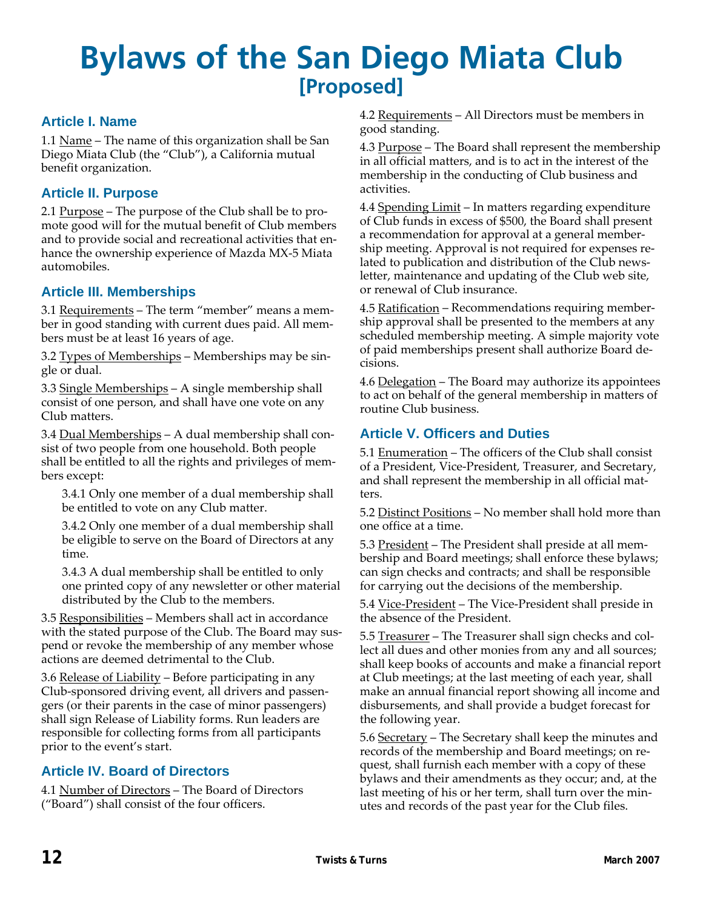## **Bylaws of the San Diego Miata Club [Proposed]**

#### **Article I. Name**

1.1 Name – The name of this organization shall be San Diego Miata Club (the "Club"), a California mutual benefit organization.

#### **Article II. Purpose**

2.1 Purpose – The purpose of the Club shall be to promote good will for the mutual benefit of Club members and to provide social and recreational activities that enhance the ownership experience of Mazda MX‐5 Miata automobiles.

#### **Article III. Memberships**

3.1 Requirements – The term "member" means a mem‐ ber in good standing with current dues paid. All mem‐ bers must be at least 16 years of age.

3.2 Types of Memberships – Memberships may be single or dual.

3.3 Single Memberships – A single membership shall consist of one person, and shall have one vote on any Club matters.

3.4 Dual Memberships - A dual membership shall consist of two people from one household. Both people shall be entitled to all the rights and privileges of mem‐ bers except:

3.4.1 Only one member of a dual membership shall be entitled to vote on any Club matter.

3.4.2 Only one member of a dual membership shall be eligible to serve on the Board of Directors at any time.

3.4.3 A dual membership shall be entitled to only one printed copy of any newsletter or other material distributed by the Club to the members.

3.5 Responsibilities – Members shall act in accordance with the stated purpose of the Club. The Board may suspend or revoke the membership of any member whose actions are deemed detrimental to the Club.

3.6 Release of Liability – Before participating in any Club‐sponsored driving event, all drivers and passen‐ gers (or their parents in the case of minor passengers) shall sign Release of Liability forms. Run leaders are responsible for collecting forms from all participants prior to the event's start.

#### **Article IV. Board of Directors**

4.1 Number of Directors – The Board of Directors ("Board") shall consist of the four officers.

4.2 Requirements – All Directors must be members in good standing.

4.3 Purpose – The Board shall represent the membership in all official matters, and is to act in the interest of the membership in the conducting of Club business and activities.

4.4 Spending Limit - In matters regarding expenditure of Club funds in excess of \$500, the Board shall present a recommendation for approval at a general member‐ ship meeting. Approval is not required for expenses re‐ lated to publication and distribution of the Club news‐ letter, maintenance and updating of the Club web site, or renewal of Club insurance.

4.5 Ratification – Recommendations requiring member‐ ship approval shall be presented to the members at any scheduled membership meeting. A simple majority vote of paid memberships present shall authorize Board de‐ cisions.

4.6 Delegation – The Board may authorize its appointees to act on behalf of the general membership in matters of routine Club business.

#### **Article V. Officers and Duties**

5.1 Enumeration - The officers of the Club shall consist of a President, Vice‐President, Treasurer, and Secretary, and shall represent the membership in all official mat‐ ters.

5.2 Distinct Positions – No member shall hold more than one office at a time.

5.3 President – The President shall preside at all mem‐ bership and Board meetings; shall enforce these bylaws; can sign checks and contracts; and shall be responsible for carrying out the decisions of the membership.

5.4 Vice-President – The Vice-President shall preside in the absence of the President.

5.5 Treasurer - The Treasurer shall sign checks and collect all dues and other monies from any and all sources; shall keep books of accounts and make a financial report at Club meetings; at the last meeting of each year, shall make an annual financial report showing all income and disbursements, and shall provide a budget forecast for the following year.

5.6 Secretary - The Secretary shall keep the minutes and records of the membership and Board meetings; on re‐ quest, shall furnish each member with a copy of these bylaws and their amendments as they occur; and, at the last meeting of his or her term, shall turn over the minutes and records of the past year for the Club files.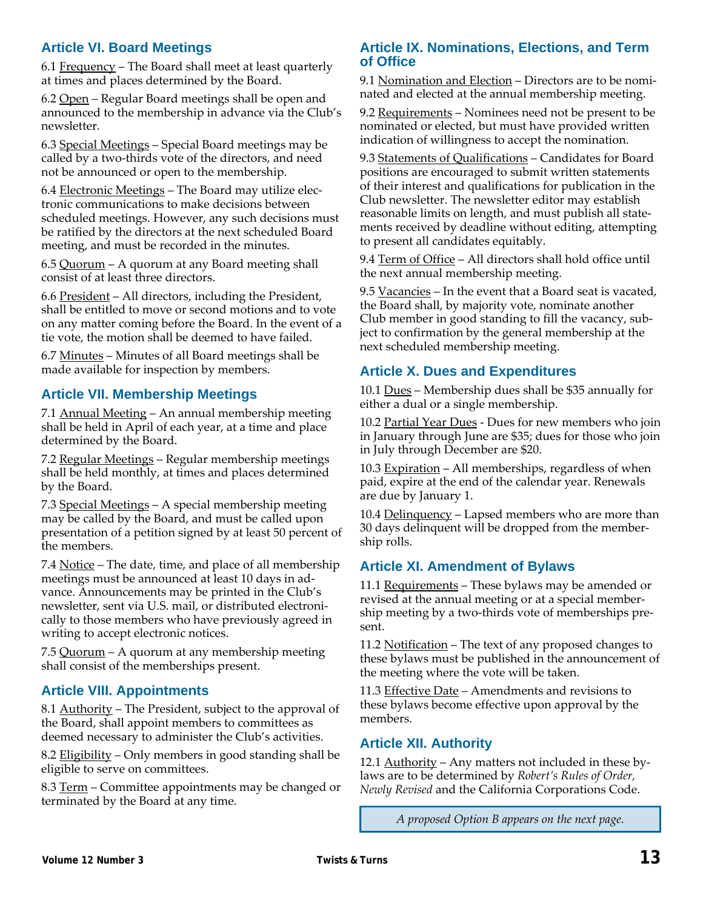#### **Article VI. Board Meetings**

6.1 Frequency – The Board shall meet at least quarterly at times and places determined by the Board.

6.2 Open – Regular Board meetings shall be open and announced to the membership in advance via the Club's newsletter.

6.3 Special Meetings – Special Board meetings may be called by a two‐thirds vote of the directors, and need not be announced or open to the membership.

6.4 Electronic Meetings – The Board may utilize elec‐ tronic communications to make decisions between scheduled meetings. However, any such decisions must be ratified by the directors at the next scheduled Board meeting, and must be recorded in the minutes.

6.5 Quorum – A quorum at any Board meeting shall consist of at least three directors.

6.6 President – All directors, including the President, shall be entitled to move or second motions and to vote on any matter coming before the Board. In the event of a tie vote, the motion shall be deemed to have failed.

6.7 Minutes – Minutes of all Board meetings shall be made available for inspection by members.

#### **Article VII. Membership Meetings**

7.1 Annual Meeting – An annual membership meeting shall be held in April of each year, at a time and place determined by the Board.

7.2 Regular Meetings – Regular membership meetings shall be held monthly, at times and places determined by the Board.

7.3 Special Meetings – A special membership meeting may be called by the Board, and must be called upon presentation of a petition signed by at least 50 percent of the members.

7.4 Notice – The date, time, and place of all membership meetings must be announced at least 10 days in ad‐ vance. Announcements may be printed in the Club's newsletter, sent via U.S. mail, or distributed electroni‐ cally to those members who have previously agreed in writing to accept electronic notices.

7.5 Quorum – A quorum at any membership meeting shall consist of the memberships present.

#### **Article VIII. Appointments**

8.1 Authority – The President, subject to the approval of the Board, shall appoint members to committees as deemed necessary to administer the Club's activities.

8.2 Eligibility – Only members in good standing shall be eligible to serve on committees.

8.3 Term – Committee appointments may be changed or terminated by the Board at any time.

#### **Article IX. Nominations, Elections, and Term of Office**

9.1 Nomination and Election – Directors are to be nominated and elected at the annual membership meeting.

9.2 Requirements – Nominees need not be present to be nominated or elected, but must have provided written indication of willingness to accept the nomination.

9.3 Statements of Qualifications – Candidates for Board positions are encouraged to submit written statements of their interest and qualifications for publication in the Club newsletter. The newsletter editor may establish reasonable limits on length, and must publish all state‐ ments received by deadline without editing, attempting to present all candidates equitably.

9.4 Term of Office – All directors shall hold office until the next annual membership meeting.

9.5 Vacancies – In the event that a Board seat is vacated, the Board shall, by majority vote, nominate another Club member in good standing to fill the vacancy, sub‐ ject to confirmation by the general membership at the next scheduled membership meeting.

#### **Article X. Dues and Expenditures**

10.1 Dues – Membership dues shall be \$35 annually for either a dual or a single membership.

10.2 Partial Year Dues - Dues for new members who join in January through June are \$35; dues for those who join in July through December are \$20.

10.3 Expiration – All memberships, regardless of when paid, expire at the end of the calendar year. Renewals are due by January 1.

10.4 Delinquency – Lapsed members who are more than 30 days delinquent will be dropped from the member‐ ship rolls.

#### **Article XI. Amendment of Bylaws**

11.1 Requirements - These bylaws may be amended or revised at the annual meeting or at a special member‐ ship meeting by a two-thirds vote of memberships present.

11.2 Notification – The text of any proposed changes to these bylaws must be published in the announcement of the meeting where the vote will be taken.

11.3 Effective Date – Amendments and revisions to these bylaws become effective upon approval by the members.

#### **Article XII. Authority**

12.1 Authority – Any matters not included in these bylaws are to be determined by *Robert's Rules of Order, Newly Revised* and the California Corporations Code.

*A proposed Option B appears on the next page.*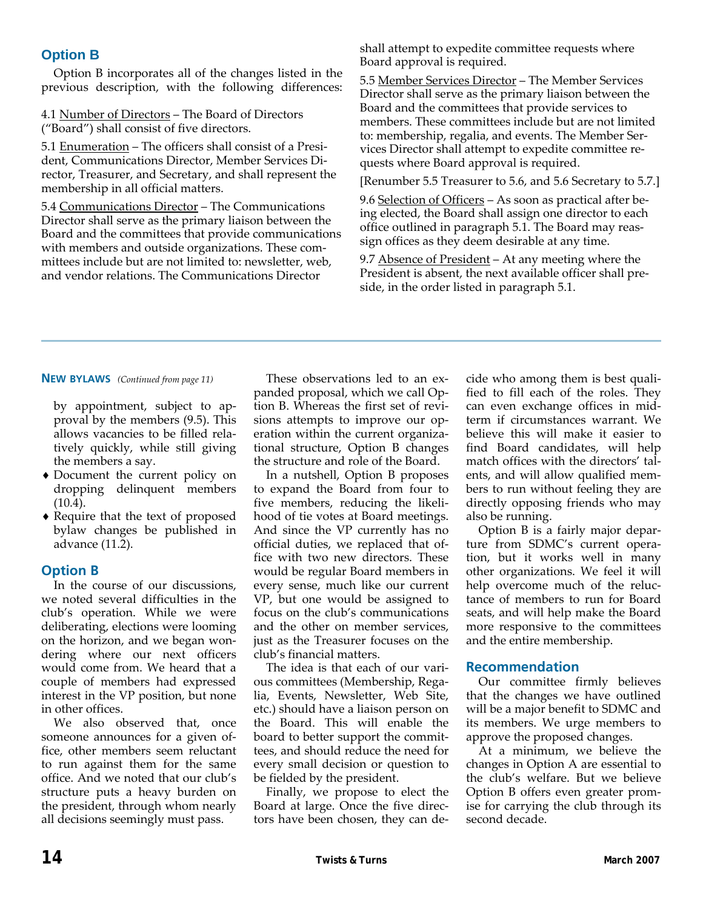#### **Option B**

Option B incorporates all of the changes listed in the previous description, with the following differences:

4.1 Number of Directors – The Board of Directors ("Board") shall consist of five directors.

5.1 Enumeration - The officers shall consist of a President, Communications Director, Member Services Di‐ rector, Treasurer, and Secretary, and shall represent the membership in all official matters.

5.4 Communications Director – The Communications Director shall serve as the primary liaison between the Board and the committees that provide communications with members and outside organizations. These committees include but are not limited to: newsletter, web, and vendor relations. The Communications Director

shall attempt to expedite committee requests where Board approval is required.

5.5 Member Services Director – The Member Services Director shall serve as the primary liaison between the Board and the committees that provide services to members. These committees include but are not limited to: membership, regalia, and events. The Member Services Director shall attempt to expedite committee re‐ quests where Board approval is required.

[Renumber 5.5 Treasurer to 5.6, and 5.6 Secretary to 5.7.]

9.6 Selection of Officers – As soon as practical after being elected, the Board shall assign one director to each office outlined in paragraph 5.1. The Board may reas‐ sign offices as they deem desirable at any time.

9.7 Absence of President – At any meeting where the President is absent, the next available officer shall pre‐ side, in the order listed in paragraph 5.1.

#### **NEW BYLAWS** *(Continued from page 11)*

by appointment, subject to ap‐ proval by the members (9.5). This allows vacancies to be filled rela‐ tively quickly, while still giving the members a say.

- ♦ Document the current policy on dropping delinquent members  $(10.4)$ .
- ♦ Require that the text of proposed bylaw changes be published in advance (11.2).

#### **Option B**

In the course of our discussions, we noted several difficulties in the club's operation. While we were deliberating, elections were looming on the horizon, and we began won‐ dering where our next officers would come from. We heard that a couple of members had expressed interest in the VP position, but none in other offices.

We also observed that, once someone announces for a given office, other members seem reluctant to run against them for the same office. And we noted that our club's structure puts a heavy burden on the president, through whom nearly all decisions seemingly must pass.

These observations led to an ex‐ panded proposal, which we call Op‐ tion B. Whereas the first set of revi‐ sions attempts to improve our op‐ eration within the current organiza‐ tional structure, Option B changes the structure and role of the Board.

In a nutshell, Option B proposes to expand the Board from four to five members, reducing the likeli‐ hood of tie votes at Board meetings. And since the VP currently has no official duties, we replaced that of‐ fice with two new directors. These would be regular Board members in every sense, much like our current VP, but one would be assigned to focus on the club's communications and the other on member services, just as the Treasurer focuses on the club's financial matters.

The idea is that each of our vari‐ ous committees (Membership, Rega‐ lia, Events, Newsletter, Web Site, etc.) should have a liaison person on the Board. This will enable the board to better support the commit‐ tees, and should reduce the need for every small decision or question to be fielded by the president.

Finally, we propose to elect the Board at large. Once the five direc‐ tors have been chosen, they can de‐

cide who among them is best quali‐ fied to fill each of the roles. They can even exchange offices in mid‐ term if circumstances warrant. We believe this will make it easier to find Board candidates, will help match offices with the directors' tal‐ ents, and will allow qualified mem‐ bers to run without feeling they are directly opposing friends who may also be running.

Option B is a fairly major depar‐ ture from SDMC's current opera‐ tion, but it works well in many other organizations. We feel it will help overcome much of the reluctance of members to run for Board seats, and will help make the Board more responsive to the committees and the entire membership.

#### **Recommendation**

Our committee firmly believes that the changes we have outlined will be a major benefit to SDMC and its members. We urge members to approve the proposed changes.

At a minimum, we believe the changes in Option A are essential to the club's welfare. But we believe Option B offers even greater prom‐ ise for carrying the club through its second decade.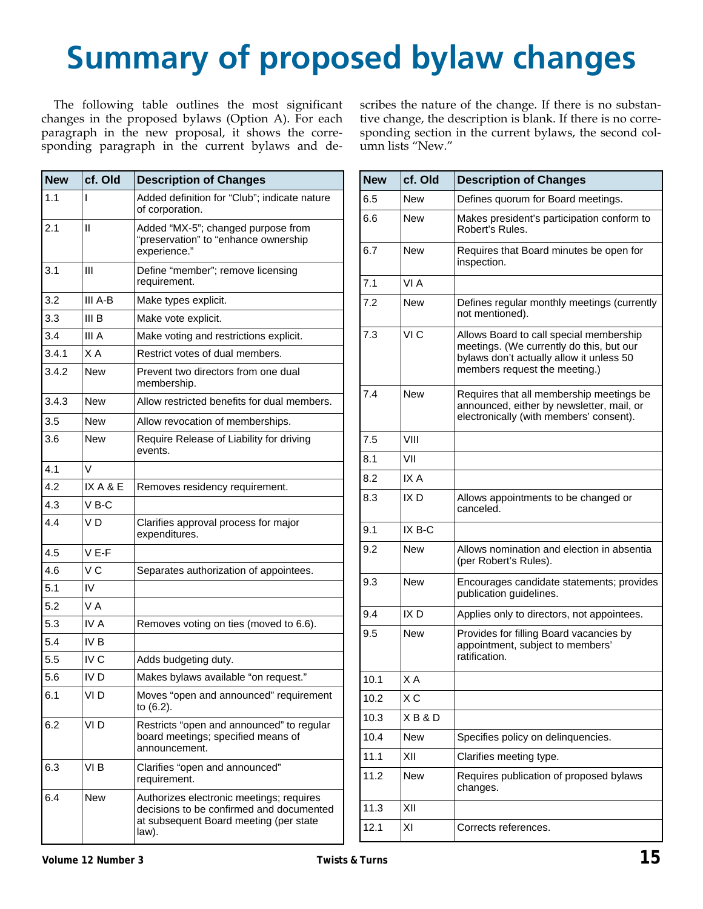# **Summary of proposed bylaw changes**

The following table outlines the most significant changes in the proposed bylaws (Option A). For each paragraph in the new proposal, it shows the corresponding paragraph in the current bylaws and de‐ scribes the nature of the change. If there is no substantive change, the description is blank. If there is no corresponding section in the current bylaws, the second column lists "New."

| <b>New</b> | cf. Old         | <b>Description of Changes</b>                                                                                                           |
|------------|-----------------|-----------------------------------------------------------------------------------------------------------------------------------------|
| 1.1        | ı               | Added definition for "Club"; indicate nature<br>of corporation.                                                                         |
| 2.1        | Ш               | Added "MX-5"; changed purpose from<br>"preservation" to "enhance ownership<br>experience."                                              |
| 3.1        | Ш               | Define "member"; remove licensing<br>requirement.                                                                                       |
| 3.2        | III A-B         | Make types explicit.                                                                                                                    |
| 3.3        | III B           | Make vote explicit.                                                                                                                     |
| 3.4        | III A           | Make voting and restrictions explicit.                                                                                                  |
| 3.4.1      | X A             | Restrict votes of dual members.                                                                                                         |
| 3.4.2      | New             | Prevent two directors from one dual<br>membership.                                                                                      |
| 3.4.3      | New             | Allow restricted benefits for dual members.                                                                                             |
| 3.5        | New             | Allow revocation of memberships.                                                                                                        |
| 3.6        | New             | Require Release of Liability for driving<br>events.                                                                                     |
| 4.1        | V               |                                                                                                                                         |
| 4.2        | IXA&E           | Removes residency requirement.                                                                                                          |
| 4.3        | $V$ B-C         |                                                                                                                                         |
| 4.4        | V D             | Clarifies approval process for major<br>expenditures.                                                                                   |
| 4.5        | $V E-F$         |                                                                                                                                         |
| 4.6        | V C             | Separates authorization of appointees.                                                                                                  |
| 5.1        | IV              |                                                                                                                                         |
| 5.2        | V A             |                                                                                                                                         |
| 5.3        | IV A            | Removes voting on ties (moved to 6.6).                                                                                                  |
| 5.4        | IV <sub>B</sub> |                                                                                                                                         |
| 5.5        | IV <sub>C</sub> | Adds budgeting duty.                                                                                                                    |
| 5.6        | IV D            | Makes bylaws available "on request."                                                                                                    |
| 6.1        | VI D            | Moves "open and announced" requirement<br>to (6.2).                                                                                     |
| 6.2        | VI D            | Restricts "open and announced" to regular<br>board meetings; specified means of<br>announcement.                                        |
| 6.3        | VI <sub>B</sub> | Clarifies "open and announced"<br>requirement.                                                                                          |
| 6.4        | New             | Authorizes electronic meetings; requires<br>decisions to be confirmed and documented<br>at subsequent Board meeting (per state<br>law). |

| New  | cf. Old | <b>Description of Changes</b>                                                                                                                                    |
|------|---------|------------------------------------------------------------------------------------------------------------------------------------------------------------------|
| 6.5  | New     | Defines quorum for Board meetings.                                                                                                                               |
| 6.6  | New     | Makes president's participation conform to<br>Robert's Rules.                                                                                                    |
| 6.7  | New     | Requires that Board minutes be open for<br>inspection.                                                                                                           |
| 7.1  | VI A    |                                                                                                                                                                  |
| 7.2  | New     | Defines regular monthly meetings (currently<br>not mentioned).                                                                                                   |
| 7.3  | VI C    | Allows Board to call special membership<br>meetings. (We currently do this, but our<br>bylaws don't actually allow it unless 50<br>members request the meeting.) |
| 7.4  | New     | Requires that all membership meetings be<br>announced, either by newsletter, mail, or<br>electronically (with members' consent).                                 |
| 7.5  | VIII    |                                                                                                                                                                  |
| 8.1  | VII     |                                                                                                                                                                  |
| 8.2  | IX A    |                                                                                                                                                                  |
| 8.3  | IX D    | Allows appointments to be changed or<br>canceled.                                                                                                                |
| 9.1  | IX B-C  |                                                                                                                                                                  |
| 9.2  | New     | Allows nomination and election in absentia<br>(per Robert's Rules).                                                                                              |
| 9.3  | New     | Encourages candidate statements; provides<br>publication guidelines.                                                                                             |
| 9.4  | IX D    | Applies only to directors, not appointees.                                                                                                                       |
| 9.5  | New     | Provides for filling Board vacancies by<br>appointment, subject to members'<br>ratification.                                                                     |
| 10.1 | X A     |                                                                                                                                                                  |
| 10.2 | X C     |                                                                                                                                                                  |
| 10.3 | XB&D    |                                                                                                                                                                  |
| 10.4 | New     | Specifies policy on delinquencies.                                                                                                                               |
| 11.1 | XII     | Clarifies meeting type.                                                                                                                                          |
| 11.2 | New     | Requires publication of proposed bylaws<br>changes.                                                                                                              |
| 11.3 | XII     |                                                                                                                                                                  |
| 12.1 | ΧI      | Corrects references.                                                                                                                                             |
|      |         |                                                                                                                                                                  |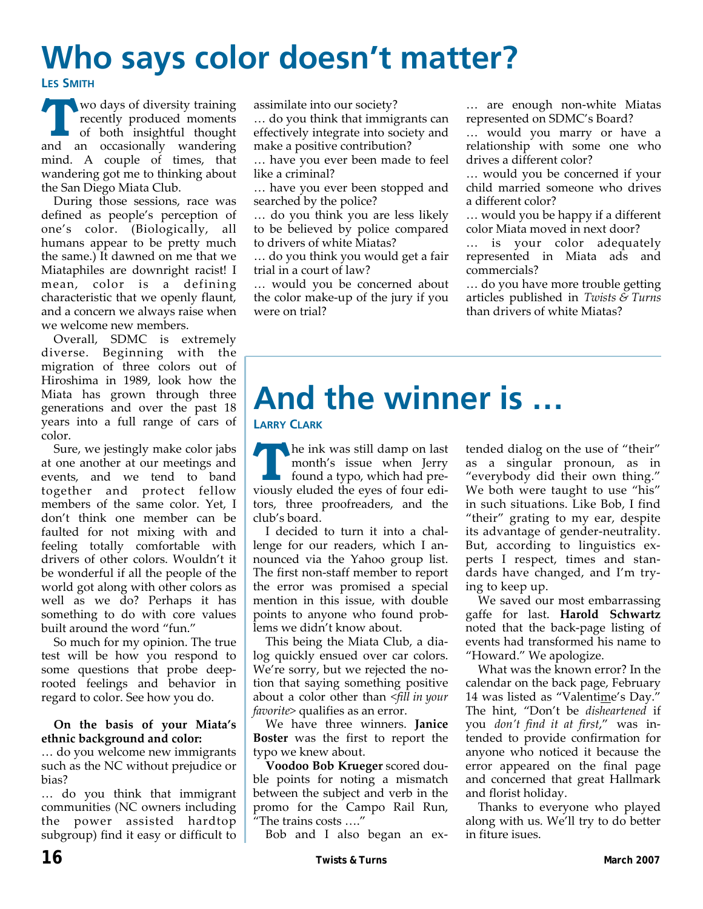# **Who says color doesn't matter?**

**LES SMITH**

**T** wo days of diversity training<br>recently produced moments<br>of both insightful thought recently produced moments and an occasionally wandering mind. A couple of times, that wandering got me to thinking about the San Diego Miata Club.

During those sessions, race was defined as people's perception of one's color. (Biologically, all humans appear to be pretty much the same.) It dawned on me that we Miataphiles are downright racist! I mean, color is a defining characteristic that we openly flaunt, and a concern we always raise when we welcome new members.

Overall, SDMC is extremely diverse. Beginning with the migration of three colors out of Hiroshima in 1989, look how the Miata has grown through three generations and over the past 18 years into a full range of cars of color.

Sure, we jestingly make color jabs at one another at our meetings and events, and we tend to band together and protect fellow members of the same color. Yet, I don't think one member can be faulted for not mixing with and feeling totally comfortable with drivers of other colors. Wouldn't it be wonderful if all the people of the world got along with other colors as well as we do? Perhaps it has something to do with core values built around the word "fun."

So much for my opinion. The true test will be how you respond to some questions that probe deeprooted feelings and behavior in regard to color. See how you do.

#### **On the basis of your Miata's ethnic background and color:**

… do you welcome new immigrants such as the NC without prejudice or bias?

… do you think that immigrant communities (NC owners including the power assisted hardtop subgroup) find it easy or difficult to assimilate into our society?

… do you think that immigrants can effectively integrate into society and make a positive contribution?

… have you ever been made to feel like a criminal?

… have you ever been stopped and searched by the police?

… do you think you are less likely to be believed by police compared to drivers of white Miatas?

… do you think you would get a fair trial in a court of law?

… would you be concerned about the color make‐up of the jury if you were on trial?

… are enough non‐white Miatas represented on SDMC's Board?

… would you marry or have a relationship with some one who drives a different color?

… would you be concerned if your child married someone who drives a different color?

… would you be happy if a different color Miata moved in next door?

… is your color adequately represented in Miata ads and commercials?

… do you have more trouble getting articles published in *Twists & Turns* than drivers of white Miatas?

# **And the winner is …**

#### **LARRY CLARK**

**T T** he ink was still damp on last<br>
month's issue when Jerry<br>
found a typo, which had premonth's issue when Jerry viously eluded the eyes of four edi‐ tors, three proofreaders, and the club's board.

I decided to turn it into a chal‐ lenge for our readers, which I an‐ nounced via the Yahoo group list. The first non‐staff member to report the error was promised a special mention in this issue, with double points to anyone who found prob‐ lems we didn't know about.

This being the Miata Club, a dia‐ log quickly ensued over car colors. We're sorry, but we rejected the notion that saying something positive about a color other than *<fill in your favorite>* qualifies as an error.

We have three winners. **Janice Boster** was the first to report the typo we knew about.

**Voodoo Bob Krueger** scored dou‐ ble points for noting a mismatch between the subject and verb in the promo for the Campo Rail Run, "The trains costs …."

Bob and I also began an ex‐

tended dialog on the use of "their" as a singular pronoun, as in "everybody did their own thing." We both were taught to use "his" in such situations. Like Bob, I find "their" grating to my ear, despite its advantage of gender‐neutrality. But, according to linguistics ex‐ perts I respect, times and stan‐ dards have changed, and I'm try‐ ing to keep up.

We saved our most embarrassing gaffe for last. **Harold Schwartz** noted that the back‐page listing of events had transformed his name to "Howard." We apologize.

What was the known error? In the calendar on the back page, February 14 was listed as "Valentime's Day." The hint, "Don't be *disheartened* if you *don't find it at first*," was in‐ tended to provide confirmation for anyone who noticed it because the error appeared on the final page and concerned that great Hallmark and florist holiday.

Thanks to everyone who played along with us. We'll try to do better in fiture isues.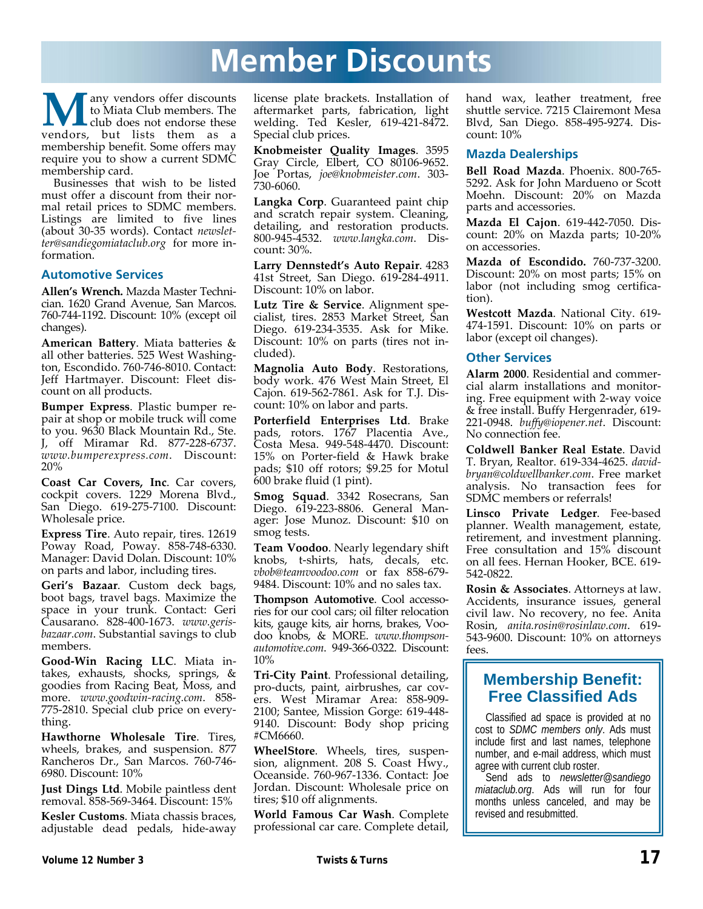## **Member Discounts**

**M**any vendors offer discounts<br>to Miata Club members. The<br>vendors, but lists them as a to Miata Club members. The club does not endorse these membership benefit. Some offers may require you to show a current SDMC membership card.

Businesses that wish to be listed must offer a discount from their nor‐ mal retail prices to SDMC members. Listings are limited to five lines (about 30‐35 words). Contact *newslet‐ ter@sandiegomiataclub.org* for more in‐ formation.

#### **Automotive Services**

**Allen's Wrench.** Mazda Master Techni‐ cian. 1620 Grand Avenue, San Marcos. 760‐744‐1192. Discount: 10% (except oil changes).

**American Battery**. Miata batteries & all other batteries. 525 West Washing‐ ton, Escondido. 760‐746‐8010. Contact: Jeff Hartmayer. Discount: Fleet dis‐ count on all products.

**Bumper Express**. Plastic bumper re‐ pair at shop or mobile truck will come to you. 9630 Black Mountain Rd., Ste. J, off Miramar Rd. 877‐228‐6737. *www.bumperexpress.com*. Discount: 20%

**Coast Car Covers, Inc**. Car covers, cockpit covers. 1229 Morena Blvd., San Diego. 619‐275‐7100. Discount: Wholesale price.

**Express Tire**. Auto repair, tires. 12619 Poway Road, Poway. 858‐748‐6330. Manager: David Dolan. Discount: 10% on parts and labor, including tires.

**Geri's Bazaar**. Custom deck bags, boot bags, travel bags. Maximize the space in your trunk. Contact: Geri Causarano. 828‐400‐1673. *www.geris‐ bazaar.com*. Substantial savings to club members.

**Good‐Win Racing LLC**. Miata in‐ takes, exhausts, shocks, springs, & goodies from Racing Beat, Moss, and more. *www.goodwin‐racing.com*. 858‐ 775‐2810. Special club price on every‐ thing.

**Hawthorne Wholesale Tire**. Tires, wheels, brakes, and suspension. 877 Rancheros Dr., San Marcos. 760‐746‐ 6980. Discount: 10%

**Just Dings Ltd**. Mobile paintless dent removal. 858‐569‐3464. Discount: 15%

**Kesler Customs**. Miata chassis braces, adjustable dead pedals, hide‐away license plate brackets. Installation of aftermarket parts, fabrication, light welding. Ted Kesler, 619‐421‐8472. Special club prices.

**Knobmeister Quality Images**. 3595 Gray Circle, Elbert, CO 80106-9652. Joe Portas, *joe@knobmeister.com*. 303‐ 730‐6060.

**Langka Corp**. Guaranteed paint chip and scratch repair system. Cleaning, detailing, and restoration products. 800‐945‐4532. *www.langka.com*. Dis‐ count: 30%.

**Larry Dennstedt's Auto Repair**. 4283 41st Street, San Diego. 619‐284‐4911. Discount: 10% on labor.

**Lutz Tire & Service**. Alignment spe‐ cialist, tires. 2853 Market Street, San Diego. 619‐234‐3535. Ask for Mike. Discount: 10% on parts (tires not in‐ cluded).

**Magnolia Auto Body**. Restorations, body work. 476 West Main Street, El Cajon. 619‐562‐7861. Ask for T.J. Dis‐ count: 10% on labor and parts.

**Porterfield Enterprises Ltd**. Brake pads, rotors. 1767 Placentia Ave., Costa Mesa. 949‐548‐4470. Discount: 15% on Porter‐field & Hawk brake pads; \$10 off rotors; \$9.25 for Motul 600 brake fluid (1 pint).

**Smog Squad**. 3342 Rosecrans, San Diego. 619‐223‐8806. General Man‐ ager: Jose Munoz. Discount: \$10 on smog tests.

**Team Voodoo**. Nearly legendary shift knobs, t‐shirts, hats, decals, etc. *vbob@teamvoodoo.com* or fax 858‐679‐ 9484. Discount: 10% and no sales tax.

**Thompson Automotive**. Cool accesso‐ ries for our cool cars; oil filter relocation kits, gauge kits, air horns, brakes, Voo‐ doo knobs, & MORE. *www.thompson‐ automotive.com*. 949‐366‐0322. Discount: 10%

**Tri‐City Paint**. Professional detailing, pro‐ducts, paint, airbrushes, car cov‐ ers. West Miramar Area: 858‐909‐ 2100; Santee, Mission Gorge: 619‐448‐ 9140. Discount: Body shop pricing #CM6660.

**WheelStore**. Wheels, tires, suspen‐ sion, alignment. 208 S. Coast Hwy., Oceanside. 760‐967‐1336. Contact: Joe Jordan. Discount: Wholesale price on tires; \$10 off alignments.

**World Famous Car Wash**. Complete professional car care. Complete detail,

hand wax, leather treatment, free shuttle service. 7215 Clairemont Mesa Blvd, San Diego. 858‐495‐9274. Dis‐ count: 10%

#### **Mazda Dealerships**

**Bell Road Mazda**. Phoenix. 800‐765‐ 5292. Ask for John Mardueno or Scott Moehn. Discount: 20% on Mazda parts and accessories.

**Mazda El Cajon**. 619‐442‐7050. Dis‐ count: 20% on Mazda parts; 10‐20% on accessories.

**Mazda of Escondido.** 760‐737‐3200. Discount: 20% on most parts; 15% on labor (not including smog certifica‐ tion).

**Westcott Mazda**. National City. 619‐ 474‐1591. Discount: 10% on parts or labor (except oil changes).

#### **Other Services**

**Alarm 2000**. Residential and commer‐ cial alarm installations and monitor‐ ing. Free equipment with 2‐way voice & free install. Buffy Hergenrader, 619‐ 221‐0948. *buffy@iopener.net*. Discount: No connection fee.

**Coldwell Banker Real Estate**. David T. Bryan, Realtor. 619‐334‐4625. *david‐ bryan@coldwellbanker.com*. Free market analysis. No transaction fees for SDMC members or referrals!

**Linsco Private Ledger**. Fee‐based planner. Wealth management, estate, retirement, and investment planning. Free consultation and 15% discount on all fees. Hernan Hooker, BCE. 619‐ 542‐0822.

**Rosin & Associates**. Attorneys at law. Accidents, insurance issues, general civil law. No recovery, no fee. Anita Rosin, *anita.rosin@rosinlaw.com*. 619‐ 543‐9600. Discount: 10% on attorneys fees.

### **Membership Benefit: Free Classified Ads**

Classified ad space is provided at no cost to *SDMC members only*. Ads must include first and last names, telephone number, and e-mail address, which must agree with current club roster.

Send ads to *newsletter@sandiego miataclub.org*. Ads will run for four months unless canceled, and may be revised and resubmitted.